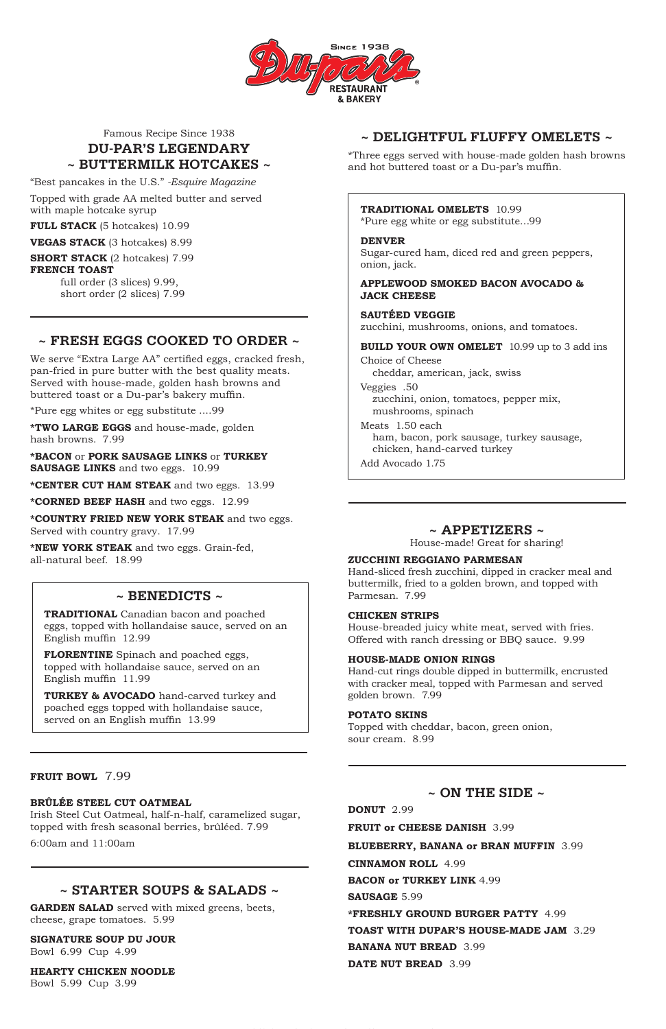

## Famous Recipe Since 1938 **DU-PAR'S LEGENDARY ~ BUTTERMILK HOTCAKES ~**

"Best pancakes in the U.S." *-Esquire Magazine*

Topped with grade AA melted butter and served with maple hotcake syrup

**FULL STACK** (5 hotcakes) 10.99

**VEGAS STACK** (3 hotcakes) 8.99

**SHORT STACK** (2 hotcakes) 7.99 **FRENCH TOAST**

> full order (3 slices) 9.99, short order (2 slices) 7.99

## **~ DELIGHTFUL FLUFFY OMELETS ~**

\*Three eggs served with house-made golden hash browns and hot buttered toast or a Du-par's muffin.

### **TRADITIONAL OMELETS** 10.99

\*Pure egg white or egg substitute…99

### **DENVER**

Sugar-cured ham, diced red and green peppers, onion, jack.

### **APPLEWOOD SMOKED BACON AVOCADO & JACK CHEESE**

## **SAUTÉED VEGGIE**

zucchini, mushrooms, onions, and tomatoes.

### **BUILD YOUR OWN OMELET** 10.99 up to 3 add ins

Choice of Cheese cheddar, american, jack, swiss

Veggies .50 zucchini, onion, tomatoes, pepper mix, mushrooms, spinach

Meats 1.50 each ham, bacon, pork sausage, turkey sausage, chicken, hand-carved turkey

Add Avocado 1.75

**~ ON THE SIDE ~ DONUT** 2.99 **FRUIT or CHEESE DANISH** 3.99 **BLUEBERRY, BANANA or BRAN MUFFIN** 3.99 **CINNAMON ROLL** 4.99 **BACON or TURKEY LINK** 4.99 **SAUSAGE** 5.99 **\*FRESHLY GROUND BURGER PATTY** 4.99 **TOAST WITH DUPAR'S HOUSE-MADE JAM** 3.29 **BANANA NUT BREAD** 3.99 **DATE NUT BREAD** 3.99

**\*BACON** or **PORK SAUSAGE LINKS** or **TURKEY SAUSAGE LINKS** and two eggs. 10.99

## **~ APPETIZERS ~**

House-made! Great for sharing!

### **ZUCCHINI REGGIANO PARMESAN**

Hand-sliced fresh zucchini, dipped in cracker meal and buttermilk, fried to a golden brown, and topped with Parmesan. 7.99

### **CHICKEN STRIPS**

House-breaded juicy white meat, served with fries. Offered with ranch dressing or BBQ sauce. 9.99

### **HOUSE-MADE ONION RINGS**

Hand-cut rings double dipped in buttermilk, encrusted with cracker meal, topped with Parmesan and served golden brown. 7.99

### **POTATO SKINS**

Topped with cheddar, bacon, green onion, sour cream. 8.99

## **~ STARTER SOUPS & SALADS ~**

**GARDEN SALAD** served with mixed greens, beets, cheese, grape tomatoes. 5.99

#### **SIGNATURE SOUP DU JOUR**

Bowl 6.99 Cup 4.99

#### **HEARTY CHICKEN NOODLE**

Bowl 5.99 Cup 3.99

# **~ FRESH EGGS COOKED TO ORDER ~**

We serve "Extra Large AA" certified eggs, cracked fresh, pan-fried in pure butter with the best quality meats. Served with house-made, golden hash browns and buttered toast or a Du-par's bakery muffin.

\*Pure egg whites or egg substitute ....99

**\*TWO LARGE EGGS** and house-made, golden hash browns. 7.99

**\*CENTER CUT HAM STEAK** and two eggs. 13.99

**\*CORNED BEEF HASH** and two eggs. 12.99

**\*COUNTRY FRIED NEW YORK STEAK** and two eggs. Served with country gravy. 17.99

**\*NEW YORK STEAK** and two eggs. Grain-fed, all-natural beef. 18.99

### **BRÛLÉE STEEL CUT OATMEAL**

Irish Steel Cut Oatmeal, half-n-half, caramelized sugar, topped with fresh seasonal berries, brûléed. 7.99

6:00am and 11:00am

## **~ BENEDICTS ~**

**TRADITIONAL** Canadian bacon and poached eggs, topped with hollandaise sauce, served on an English muffin 12.99

**FLORENTINE** Spinach and poached eggs, topped with hollandaise sauce, served on an English muffin 11.99

**TURKEY & AVOCADO** hand-carved turkey and poached eggs topped with hollandaise sauce, served on an English muffin 13.99

**FRUIT BOWL** 7.99